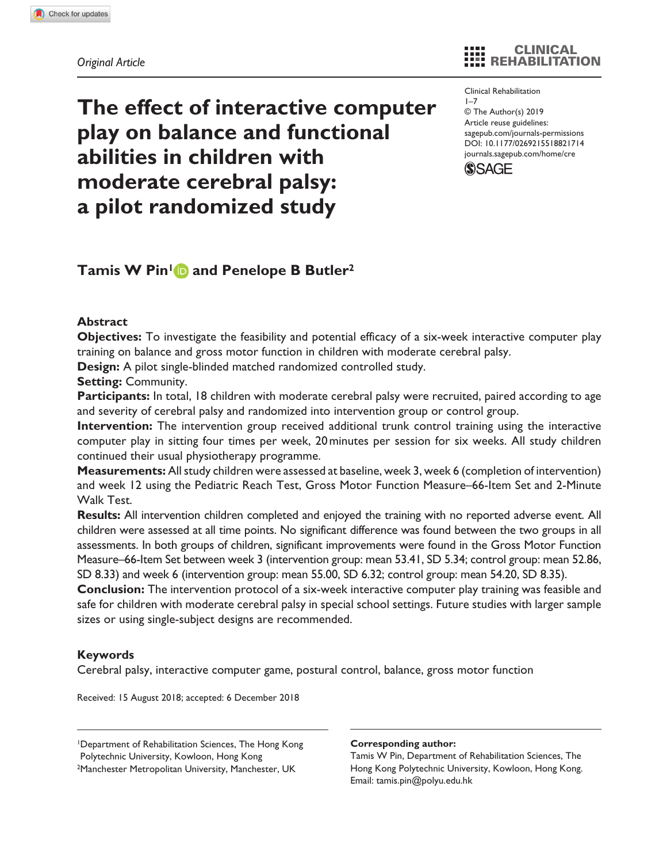### *Original Article*

# CLINICAL REHABILITATION

**The effect of interactive computer play on balance and functional abilities in children with moderate cerebral palsy: a pilot randomized study**

https://doi.org/10.1177/0269215518821714 DOI: 10.1177/0269215518821714 Clinical Rehabilitation  $1 - 7$ © The Author(s) 2019 Article reuse guidelines: [sagepub.com/journals-permissions](https://uk.sagepub.com/en-gb/journals-permissions) [journals.sagepub.com/home/cre](https://journals.sagepub.com/home/cre)



# Tamis W Pin<sup>1</sup> and Penelope B Butler<sup>2</sup>

# **Abstract**

**Objectives:** To investigate the feasibility and potential efficacy of a six-week interactive computer play training on balance and gross motor function in children with moderate cerebral palsy.

**Design:** A pilot single-blinded matched randomized controlled study.

**Setting:** Community.

**Participants:** In total, 18 children with moderate cerebral palsy were recruited, paired according to age and severity of cerebral palsy and randomized into intervention group or control group.

**Intervention:** The intervention group received additional trunk control training using the interactive computer play in sitting four times per week, 20minutes per session for six weeks. All study children continued their usual physiotherapy programme.

**Measurements:** All study children were assessed at baseline, week 3, week 6 (completion of intervention) and week 12 using the Pediatric Reach Test, Gross Motor Function Measure–66-Item Set and 2-Minute Walk Test.

**Results:** All intervention children completed and enjoyed the training with no reported adverse event. All children were assessed at all time points. No significant difference was found between the two groups in all assessments. In both groups of children, significant improvements were found in the Gross Motor Function Measure–66-Item Set between week 3 (intervention group: mean 53.41, SD 5.34; control group: mean 52.86, SD 8.33) and week 6 (intervention group: mean 55.00, SD 6.32; control group: mean 54.20, SD 8.35).

**Conclusion:** The intervention protocol of a six-week interactive computer play training was feasible and safe for children with moderate cerebral palsy in special school settings. Future studies with larger sample sizes or using single-subject designs are recommended.

### **Keywords**

Cerebral palsy, interactive computer game, postural control, balance, gross motor function

Received: 15 August 2018; accepted: 6 December 2018

1Department of Rehabilitation Sciences, The Hong Kong Polytechnic University, Kowloon, Hong Kong 2Manchester Metropolitan University, Manchester, UK

#### **Corresponding author:**

Tamis W Pin, Department of Rehabilitation Sciences, The Hong Kong Polytechnic University, Kowloon, Hong Kong. Email: [tamis.pin@polyu.edu.hk](mailto:tamis.pin@polyu.edu.hk)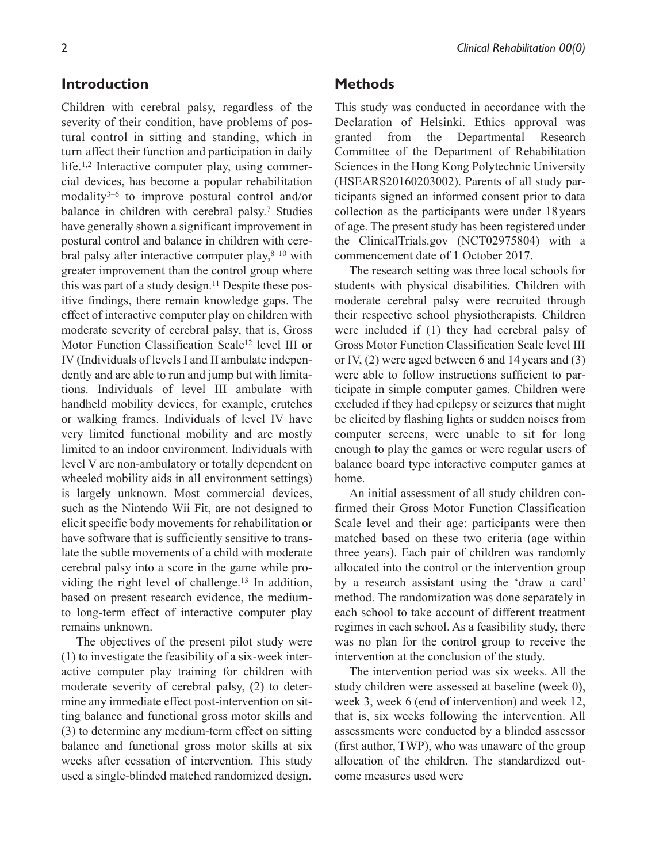# **Introduction**

Children with cerebral palsy, regardless of the severity of their condition, have problems of postural control in sitting and standing, which in turn affect their function and participation in daily life.<sup>1,2</sup> Interactive computer play, using commercial devices, has become a popular rehabilitation modality3–6 to improve postural control and/or balance in children with cerebral palsy.7 Studies have generally shown a significant improvement in postural control and balance in children with cerebral palsy after interactive computer play, $8-10$  with greater improvement than the control group where this was part of a study design.11 Despite these positive findings, there remain knowledge gaps. The effect of interactive computer play on children with moderate severity of cerebral palsy, that is, Gross Motor Function Classification Scale<sup>12</sup> level III or IV (Individuals of levels I and II ambulate independently and are able to run and jump but with limitations. Individuals of level III ambulate with handheld mobility devices, for example, crutches or walking frames. Individuals of level IV have very limited functional mobility and are mostly limited to an indoor environment. Individuals with level V are non-ambulatory or totally dependent on wheeled mobility aids in all environment settings) is largely unknown. Most commercial devices, such as the Nintendo Wii Fit, are not designed to elicit specific body movements for rehabilitation or have software that is sufficiently sensitive to translate the subtle movements of a child with moderate cerebral palsy into a score in the game while providing the right level of challenge.13 In addition, based on present research evidence, the mediumto long-term effect of interactive computer play remains unknown.

The objectives of the present pilot study were (1) to investigate the feasibility of a six-week interactive computer play training for children with moderate severity of cerebral palsy, (2) to determine any immediate effect post-intervention on sitting balance and functional gross motor skills and (3) to determine any medium-term effect on sitting balance and functional gross motor skills at six weeks after cessation of intervention. This study used a single-blinded matched randomized design.

# **Methods**

This study was conducted in accordance with the Declaration of Helsinki. Ethics approval was granted from the Departmental Research Committee of the Department of Rehabilitation Sciences in the Hong Kong Polytechnic University (HSEARS20160203002). Parents of all study participants signed an informed consent prior to data collection as the participants were under 18 years of age. The present study has been registered under the ClinicalTrials.gov (NCT02975804) with a commencement date of 1 October 2017.

The research setting was three local schools for students with physical disabilities. Children with moderate cerebral palsy were recruited through their respective school physiotherapists. Children were included if (1) they had cerebral palsy of Gross Motor Function Classification Scale level III or IV, (2) were aged between 6 and 14 years and (3) were able to follow instructions sufficient to participate in simple computer games. Children were excluded if they had epilepsy or seizures that might be elicited by flashing lights or sudden noises from computer screens, were unable to sit for long enough to play the games or were regular users of balance board type interactive computer games at home.

An initial assessment of all study children confirmed their Gross Motor Function Classification Scale level and their age: participants were then matched based on these two criteria (age within three years). Each pair of children was randomly allocated into the control or the intervention group by a research assistant using the 'draw a card' method. The randomization was done separately in each school to take account of different treatment regimes in each school. As a feasibility study, there was no plan for the control group to receive the intervention at the conclusion of the study.

The intervention period was six weeks. All the study children were assessed at baseline (week 0), week 3, week 6 (end of intervention) and week 12, that is, six weeks following the intervention. All assessments were conducted by a blinded assessor (first author, TWP), who was unaware of the group allocation of the children. The standardized outcome measures used were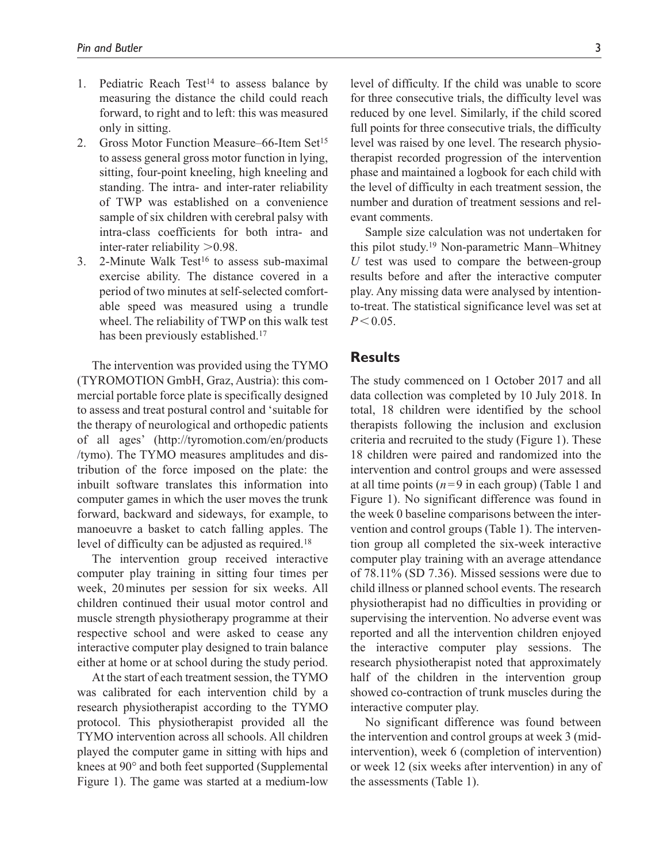- 1. Pediatric Reach Test<sup>14</sup> to assess balance by measuring the distance the child could reach forward, to right and to left: this was measured only in sitting.
- 2. Gross Motor Function Measure–66-Item Set<sup>15</sup> to assess general gross motor function in lying, sitting, four-point kneeling, high kneeling and standing. The intra- and inter-rater reliability of TWP was established on a convenience sample of six children with cerebral palsy with intra-class coefficients for both intra- and inter-rater reliability >0.98.
- 3. 2-Minute Walk Test<sup>16</sup> to assess sub-maximal exercise ability. The distance covered in a period of two minutes at self-selected comfortable speed was measured using a trundle wheel. The reliability of TWP on this walk test has been previously established.<sup>17</sup>

The intervention was provided using the TYMO (TYROMOTION GmbH, Graz, Austria): this commercial portable force plate is specifically designed to assess and treat postural control and 'suitable for the therapy of neurological and orthopedic patients of all ages' ([http://tyromotion.com/en/products](http://tyromotion.com/en/products/tymo) [/tymo\)](http://tyromotion.com/en/products/tymo). The TYMO measures amplitudes and distribution of the force imposed on the plate: the inbuilt software translates this information into computer games in which the user moves the trunk forward, backward and sideways, for example, to manoeuvre a basket to catch falling apples. The level of difficulty can be adjusted as required.<sup>18</sup>

The intervention group received interactive computer play training in sitting four times per week, 20minutes per session for six weeks. All children continued their usual motor control and muscle strength physiotherapy programme at their respective school and were asked to cease any interactive computer play designed to train balance either at home or at school during the study period.

At the start of each treatment session, the TYMO was calibrated for each intervention child by a research physiotherapist according to the TYMO protocol. This physiotherapist provided all the TYMO intervention across all schools. All children played the computer game in sitting with hips and knees at 90° and both feet supported (Supplemental Figure 1). The game was started at a medium-low

level of difficulty. If the child was unable to score for three consecutive trials, the difficulty level was reduced by one level. Similarly, if the child scored full points for three consecutive trials, the difficulty level was raised by one level. The research physiotherapist recorded progression of the intervention phase and maintained a logbook for each child with the level of difficulty in each treatment session, the number and duration of treatment sessions and relevant comments.

Sample size calculation was not undertaken for this pilot study.19 Non-parametric Mann–Whitney *U* test was used to compare the between-group results before and after the interactive computer play. Any missing data were analysed by intentionto-treat. The statistical significance level was set at  $P < 0.05$ .

# **Results**

The study commenced on 1 October 2017 and all data collection was completed by 10 July 2018. In total, 18 children were identified by the school therapists following the inclusion and exclusion criteria and recruited to the study (Figure 1). These 18 children were paired and randomized into the intervention and control groups and were assessed at all time points  $(n=9$  in each group) (Table 1 and Figure 1). No significant difference was found in the week 0 baseline comparisons between the intervention and control groups (Table 1). The intervention group all completed the six-week interactive computer play training with an average attendance of 78.11% (SD 7.36). Missed sessions were due to child illness or planned school events. The research physiotherapist had no difficulties in providing or supervising the intervention. No adverse event was reported and all the intervention children enjoyed the interactive computer play sessions. The research physiotherapist noted that approximately half of the children in the intervention group showed co-contraction of trunk muscles during the interactive computer play.

No significant difference was found between the intervention and control groups at week 3 (midintervention), week 6 (completion of intervention) or week 12 (six weeks after intervention) in any of the assessments (Table 1).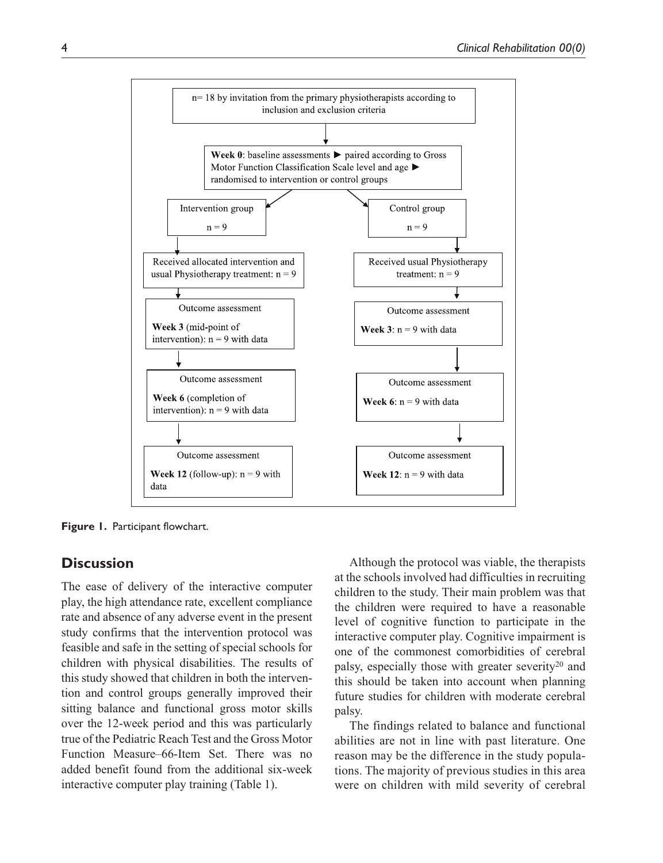

**Figure 1.** Participant flowchart.

# **Discussion**

The ease of delivery of the interactive computer play, the high attendance rate, excellent compliance rate and absence of any adverse event in the present study confirms that the intervention protocol was feasible and safe in the setting of special schools for children with physical disabilities. The results of this study showed that children in both the intervention and control groups generally improved their sitting balance and functional gross motor skills over the 12-week period and this was particularly true of the Pediatric Reach Test and the Gross Motor Function Measure–66-Item Set. There was no added benefit found from the additional six-week interactive computer play training (Table 1).

Although the protocol was viable, the therapists at the schools involved had difficulties in recruiting children to the study. Their main problem was that the children were required to have a reasonable level of cognitive function to participate in the interactive computer play. Cognitive impairment is one of the commonest comorbidities of cerebral palsy, especially those with greater severity<sup>20</sup> and this should be taken into account when planning future studies for children with moderate cerebral palsy.

The findings related to balance and functional abilities are not in line with past literature. One reason may be the difference in the study populations. The majority of previous studies in this area were on children with mild severity of cerebral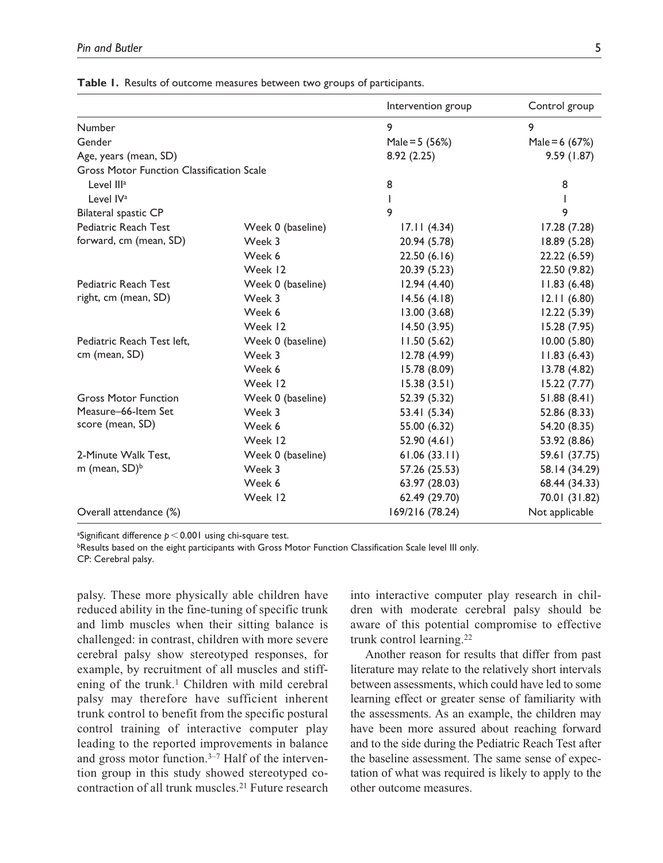|                                           |                   | Intervention group | Control group   |
|-------------------------------------------|-------------------|--------------------|-----------------|
| Number                                    |                   | 9                  | 9               |
| Gender                                    |                   | Male = $5(56%)$    | Male = $6(67%)$ |
| Age, years (mean, SD)                     |                   | 8.92(2.25)         | 9.59(1.87)      |
| Gross Motor Function Classification Scale |                   |                    |                 |
| Level III <sup>a</sup>                    |                   | 8                  | 8               |
| Level IV <sup>a</sup>                     |                   | <b>I</b>           |                 |
| Bilateral spastic CP                      |                   | 9                  | 9               |
| Pediatric Reach Test                      | Week 0 (baseline) | 17.11(4.34)        | 17.28 (7.28)    |
| forward, cm (mean, SD)                    | Week 3            | 20.94 (5.78)       | 18.89(5.28)     |
|                                           | Week 6            | 22.50(6.16)        | 22.22 (6.59)    |
|                                           | Week 12           | 20.39 (5.23)       | 22.50 (9.82)    |
| Pediatric Reach Test                      | Week 0 (baseline) | 12.94(4.40)        | 11.83(6.48)     |
| right, cm (mean, SD)                      | Week 3            | 14.56(4.18)        | 12.11(6.80)     |
|                                           | Week 6            | 13.00(3.68)        | 12.22 (5.39)    |
|                                           | Week 12           | 14.50 (3.95)       | 15.28 (7.95)    |
| Pediatric Reach Test left,                | Week 0 (baseline) | 11.50(5.62)        | 10.00(5.80)     |
| cm (mean, SD)                             | Week 3            | 12.78 (4.99)       | 11.83(6.43)     |
|                                           | Week 6            | 15.78 (8.09)       | 13.78 (4.82)    |
|                                           | Week 12           | 15.38(3.51)        | 15.22(7.77)     |
| <b>Gross Motor Function</b>               | Week 0 (baseline) | 52.39 (5.32)       | 51.88 (8.41)    |
| Measure-66-Item Set                       | Week 3            | 53.41 (5.34)       | 52.86 (8.33)    |
| score (mean, SD)                          | Week 6            | 55.00 (6.32)       | 54.20 (8.35)    |
|                                           | Week 12           | 52.90 (4.61)       | 53.92 (8.86)    |
| 2-Minute Walk Test.                       | Week 0 (baseline) | 61.06(33.11)       | 59.61 (37.75)   |
| m (mean, SD) <sup>b</sup>                 | Week 3            | 57.26 (25.53)      | 58.14 (34.29)   |
|                                           | Week 6            | 63.97 (28.03)      | 68.44 (34.33)   |
|                                           | Week 12           | 62.49 (29.70)      | 70.01 (31.82)   |
| Overall attendance (%)                    |                   | 169/216 (78.24)    | Not applicable  |

**Table 1.** Results of outcome measures between two groups of participants.

 $^{\rm a}$ Significant difference  $p$   $<$  0.001 using chi-square test.

*bResults based on the eight participants with Gross Motor Function Classification Scale level III only.* CP: Cerebral palsy.

palsy. These more physically able children have reduced ability in the fine-tuning of specific trunk and limb muscles when their sitting balance is challenged: in contrast, children with more severe cerebral palsy show stereotyped responses, for example, by recruitment of all muscles and stiffening of the trunk.<sup>1</sup> Children with mild cerebral palsy may therefore have sufficient inherent trunk control to benefit from the specific postural control training of interactive computer play leading to the reported improvements in balance and gross motor function.<sup>3-7</sup> Half of the intervention group in this study showed stereotyped cocontraction of all trunk muscles.<sup>21</sup> Future research into interactive computer play research in children with moderate cerebral palsy should be aware of this potential compromise to effective trunk control learning.22

Another reason for results that differ from past literature may relate to the relatively short intervals between assessments, which could have led to some learning effect or greater sense of familiarity with the assessments. As an example, the children may have been more assured about reaching forward and to the side during the Pediatric Reach Test after the baseline assessment. The same sense of expectation of what was required is likely to apply to the other outcome measures.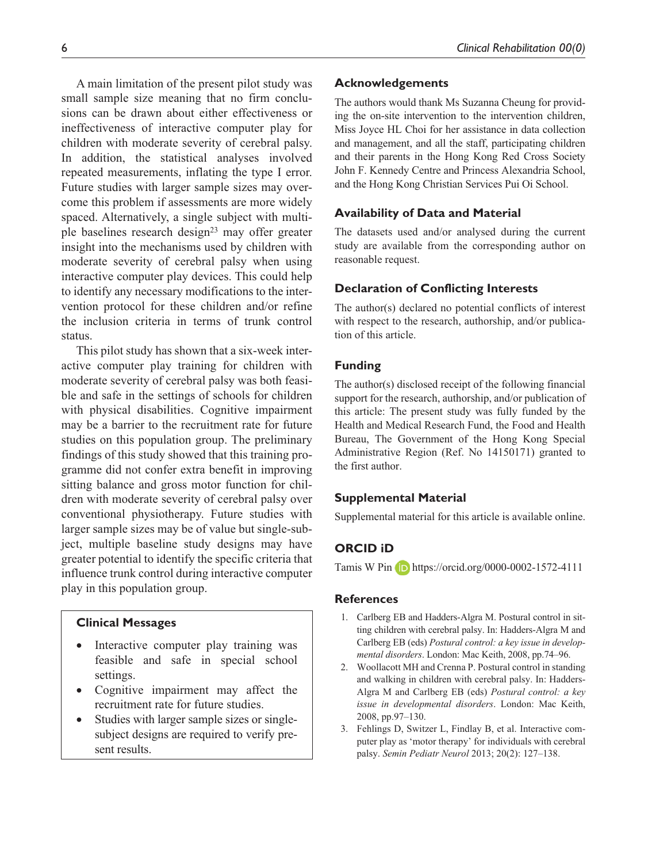A main limitation of the present pilot study was small sample size meaning that no firm conclusions can be drawn about either effectiveness or ineffectiveness of interactive computer play for children with moderate severity of cerebral palsy. In addition, the statistical analyses involved repeated measurements, inflating the type I error. Future studies with larger sample sizes may overcome this problem if assessments are more widely spaced. Alternatively, a single subject with multiple baselines research design23 may offer greater insight into the mechanisms used by children with moderate severity of cerebral palsy when using

interactive computer play devices. This could help to identify any necessary modifications to the intervention protocol for these children and/or refine the inclusion criteria in terms of trunk control status.

This pilot study has shown that a six-week interactive computer play training for children with moderate severity of cerebral palsy was both feasible and safe in the settings of schools for children with physical disabilities. Cognitive impairment may be a barrier to the recruitment rate for future studies on this population group. The preliminary findings of this study showed that this training programme did not confer extra benefit in improving sitting balance and gross motor function for children with moderate severity of cerebral palsy over conventional physiotherapy. Future studies with larger sample sizes may be of value but single-subject, multiple baseline study designs may have greater potential to identify the specific criteria that influence trunk control during interactive computer play in this population group.

## **Clinical Messages**

- Interactive computer play training was feasible and safe in special school settings.
- Cognitive impairment may affect the recruitment rate for future studies.
- Studies with larger sample sizes or singlesubject designs are required to verify present results.

### **Acknowledgements**

The authors would thank Ms Suzanna Cheung for providing the on-site intervention to the intervention children, Miss Joyce HL Choi for her assistance in data collection and management, and all the staff, participating children and their parents in the Hong Kong Red Cross Society John F. Kennedy Centre and Princess Alexandria School, and the Hong Kong Christian Services Pui Oi School.

### **Availability of Data and Material**

The datasets used and/or analysed during the current study are available from the corresponding author on reasonable request.

### **Declaration of Conflicting Interests**

The author(s) declared no potential conflicts of interest with respect to the research, authorship, and/or publication of this article.

### **Funding**

The author(s) disclosed receipt of the following financial support for the research, authorship, and/or publication of this article: The present study was fully funded by the Health and Medical Research Fund, the Food and Health Bureau, The Government of the Hong Kong Special Administrative Region (Ref. No 14150171) granted to the first author.

### **Supplemental Material**

Supplemental material for this article is available online.

# **ORCID iD**

Tamis W Pin <https://orcid.org/0000-0002-1572-4111>

## **References**

- 1. Carlberg EB and Hadders-Algra M. Postural control in sitting children with cerebral palsy. In: Hadders-Algra M and Carlberg EB (eds) *Postural control: a key issue in developmental disorders*. London: Mac Keith, 2008, pp.74–96.
- 2. Woollacott MH and Crenna P. Postural control in standing and walking in children with cerebral palsy. In: Hadders-Algra M and Carlberg EB (eds) *Postural control: a key issue in developmental disorders*. London: Mac Keith, 2008, pp.97–130.
- 3. Fehlings D, Switzer L, Findlay B, et al. Interactive computer play as 'motor therapy' for individuals with cerebral palsy. *Semin Pediatr Neurol* 2013; 20(2): 127–138.